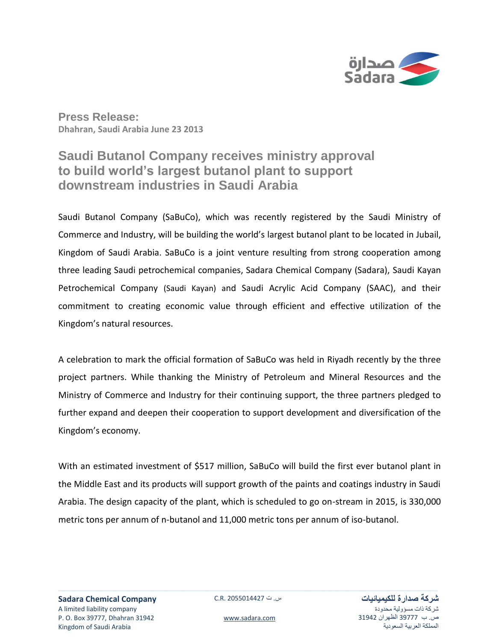

**Press Release: Dhahran, Saudi Arabia June 23 2013**

# **Saudi Butanol Company receives ministry approval to build world's largest butanol plant to support downstream industries in Saudi Arabia**

Saudi Butanol Company (SaBuCo), which was recently registered by the Saudi Ministry of Commerce and Industry, will be building the world's largest butanol plant to be located in Jubail, Kingdom of Saudi Arabia. SaBuCo is a joint venture resulting from strong cooperation among three leading Saudi petrochemical companies, Sadara Chemical Company (Sadara), Saudi Kayan Petrochemical Company (Saudi Kayan) and Saudi Acrylic Acid Company (SAAC), and their commitment to creating economic value through efficient and effective utilization of the Kingdom's natural resources.

A celebration to mark the official formation of SaBuCo was held in Riyadh recently by the three project partners. While thanking the Ministry of Petroleum and Mineral Resources and the Ministry of Commerce and Industry for their continuing support, the three partners pledged to further expand and deepen their cooperation to support development and diversification of the Kingdom's economy.

With an estimated investment of \$517 million, SaBuCo will build the first ever butanol plant in the Middle East and its products will support growth of the paints and coatings industry in Saudi Arabia. The design capacity of the plant, which is scheduled to go on-stream in 2015, is 330,000 metric tons per annum of n-butanol and 11,000 metric tons per annum of iso-butanol.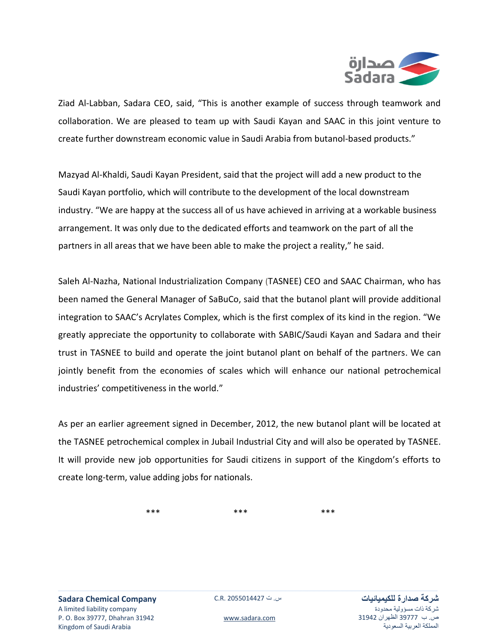

Ziad Al-Labban, Sadara CEO, said, "This is another example of success through teamwork and collaboration. We are pleased to team up with Saudi Kayan and SAAC in this joint venture to create further downstream economic value in Saudi Arabia from butanol-based products."

Mazyad Al-Khaldi, Saudi Kayan President, said that the project will add a new product to the Saudi Kayan portfolio, which will contribute to the development of the local downstream industry. "We are happy at the success all of us have achieved in arriving at a workable business arrangement. It was only due to the dedicated efforts and teamwork on the part of all the partners in all areas that we have been able to make the project a reality," he said.

Saleh Al-Nazha, National Industrialization Company (TASNEE) CEO and SAAC Chairman, who has been named the General Manager of SaBuCo, said that the butanol plant will provide additional integration to SAAC's Acrylates Complex, which is the first complex of its kind in the region. "We greatly appreciate the opportunity to collaborate with SABIC/Saudi Kayan and Sadara and their trust in TASNEE to build and operate the joint butanol plant on behalf of the partners. We can jointly benefit from the economies of scales which will enhance our national petrochemical industries' competitiveness in the world."

As per an earlier agreement signed in December, 2012, the new butanol plant will be located at the TASNEE petrochemical complex in Jubail Industrial City and will also be operated by TASNEE. It will provide new job opportunities for Saudi citizens in support of the Kingdom's efforts to create long-term, value adding jobs for nationals.

\*\*\* \*\*\* \*\*\* \*\*\* \*\*\*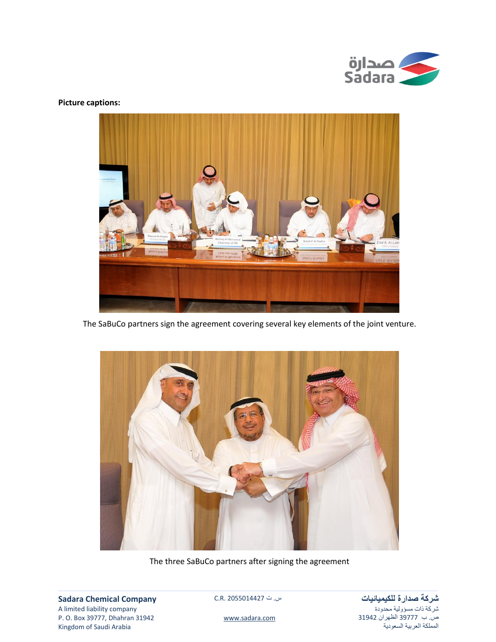

## **Picture captions:**



The SaBuCo partners sign the agreement covering several key elements of the joint venture.



The three SaBuCo partners after signing the agreement

**Sadara Chemical Company** A limited liability company P. O. Box 39777, Dhahran 31942 Kingdom of Saudi Arabia

س. ت C.R. 2055014427

**شركة صدارة للكيميائيات** شركة ذات مسؤولية محدودة ص. ب 77333 الظهران 74713 المملكة العربية السعودية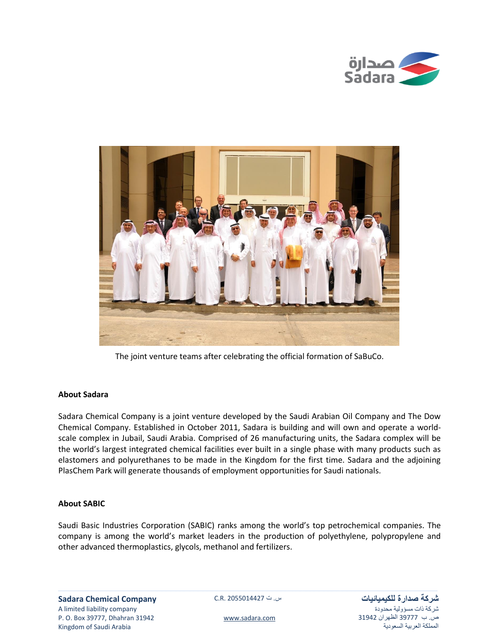



The joint venture teams after celebrating the official formation of SaBuCo.

## **About Sadara**

Sadara Chemical Company is a joint venture developed by the Saudi Arabian Oil Company and The Dow Chemical Company. Established in October 2011, Sadara is building and will own and operate a worldscale complex in Jubail, Saudi Arabia. Comprised of 26 manufacturing units, the Sadara complex will be the world's largest integrated chemical facilities ever built in a single phase with many products such as elastomers and polyurethanes to be made in the Kingdom for the first time. Sadara and the adjoining PlasChem Park will generate thousands of employment opportunities for Saudi nationals.

# **About SABIC**

Saudi Basic Industries Corporation (SABIC) ranks among the world's top petrochemical companies. The company is among the world's market leaders in the production of polyethylene, polypropylene and other advanced thermoplastics, glycols, methanol and fertilizers.

**شركة صدارة للكيميائيات** شركة ذات مسؤولية محدودة ص. ب 77333 الظهران 74713 المملكة العربية السعودية